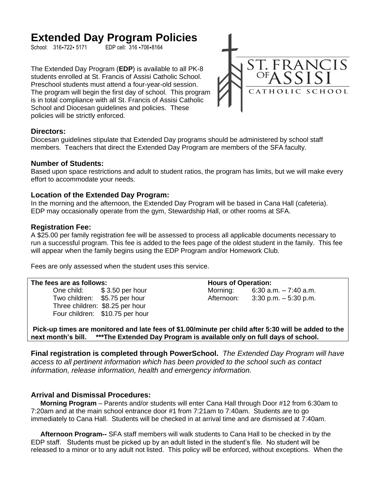# Extended Day Program Policies

EDP cell: 316 -706-8164

The Extended Day Program (**EDP**) is available to all PK-8 students enrolled at St. Francis of Assisi Catholic School. Preschool students must attend a four-year-old session. The program will begin the first day of school. This program is in total compliance with all St. Francis of Assisi Catholic School and Diocesan guidelines and policies. These policies will be strictly enforced.



## **Directors:**

Diocesan guidelines stipulate that Extended Day programs should be administered by school staff members. Teachers that direct the Extended Day Program are members of the SFA faculty.

## **Number of Students:**

Based upon space restrictions and adult to student ratios, the program has limits, but we will make every effort to accommodate your needs.

## **Location of the Extended Day Program:**

In the morning and the afternoon, the Extended Day Program will be based in Cana Hall (cafeteria). EDP may occasionally operate from the gym, Stewardship Hall, or other rooms at SFA.

## **Registration Fee:**

A \$25.00 per family registration fee will be assessed to process all applicable documents necessary to run a successful program. This fee is added to the fees page of the oldest student in the family. This fee will appear when the family begins using the EDP Program and/or Homework Club.

Fees are only assessed when the student uses this service.

| The fees are as follows: |                                 | <b>Hours of Operation:</b> |                          |
|--------------------------|---------------------------------|----------------------------|--------------------------|
|                          | One child: \$3.50 per hour      | Morning:                   | $6:30$ a.m. $-7:40$ a.m. |
|                          | Two children: \$5.75 per hour   | Afternoon:                 | $3:30$ p.m. $-5:30$ p.m. |
|                          | Three children: \$8.25 per hour |                            |                          |
|                          | Four children: \$10.75 per hour |                            |                          |
|                          |                                 |                            |                          |

**Pick-up times are monitored and late fees of \$1.00/minute per child after 5:30 will be added to the next month's bill. \*\*\*The Extended Day Program is available only on full days of school.**

**Final registration is completed through PowerSchool.** *The Extended Day Program will have access to all pertinent information which has been provided to the school such as contact information, release information, health and emergency information.*

# **Arrival and Dismissal Procedures:**

 **Morning Program** – Parents and/or students will enter Cana Hall through Door #12 from 6:30am to 7:20am and at the main school entrance door #1 from 7:21am to 7:40am. Students are to go immediately to Cana Hall. Students will be checked in at arrival time and are dismissed at 7:40am.

 **Afternoon Program--** SFA staff members will walk students to Cana Hall to be checked in by the EDP staff. Students must be picked up by an adult listed in the student's file. No student will be released to a minor or to any adult not listed. This policy will be enforced, without exceptions. When the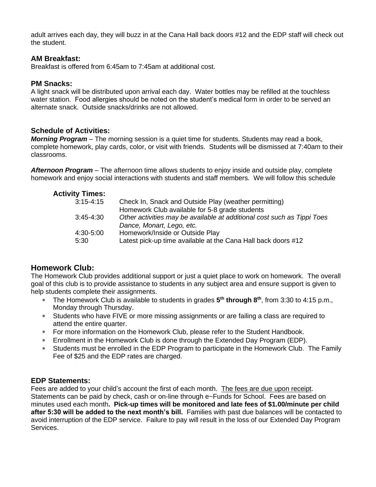adult arrives each day, they will buzz in at the Cana Hall back doors #12 and the EDP staff will check out the student.

# **AM Breakfast:**

Breakfast is offered from 6:45am to 7:45am at additional cost.

# **PM Snacks:**

A light snack will be distributed upon arrival each day. Water bottles may be refilled at the touchless water station. Food allergies should be noted on the student's medical form in order to be served an alternate snack. Outside snacks/drinks are not allowed.

# **Schedule of Activities:**

*Morning Program* – The morning session is a quiet time for students. Students may read a book, complete homework, play cards, color, or visit with friends. Students will be dismissed at 7:40am to their classrooms.

*Afternoon Program* – The afternoon time allows students to enjoy inside and outside play, complete homework and enjoy social interactions with students and staff members. We will follow this schedule

| <b>Activity Times:</b> |                                                                         |
|------------------------|-------------------------------------------------------------------------|
| $3:15 - 4:15$          | Check In, Snack and Outside Play (weather permitting)                   |
|                        | Homework Club available for 5-8 grade students                          |
| $3:45-4:30$            | Other activities may be available at additional cost such as Tippi Toes |
|                        | Dance, Monart, Lego, etc.                                               |
| 4:30-5:00              | Homework/Inside or Outside Play                                         |
| 5:30                   | Latest pick-up time available at the Cana Hall back doors #12           |

# **Homework Club:**

The Homework Club provides additional support or just a quiet place to work on homework. The overall goal of this club is to provide assistance to students in any subject area and ensure support is given to help students complete their assignments.

- The Homework Club is available to students in grades **5 th through 8th**, from 3:30 to 4:15 p.m., Monday through Thursday.
- Students who have FIVE or more missing assignments or are failing a class are required to attend the entire quarter.
- For more information on the Homework Club, please refer to the Student Handbook.
- Enrollment in the Homework Club is done through the Extended Day Program (EDP).
- Students must be enrolled in the EDP Program to participate in the Homework Club. The Family Fee of \$25 and the EDP rates are charged.

# **EDP Statements:**

Fees are added to your child's account the first of each month. The fees are due upon receipt. Statements can be paid by check, cash or on-line through e~Funds for School. Fees are based on minutes used each month**. Pick-up times will be monitored and late fees of \$1.00/minute per child after 5:30 will be added to the next month's bill.** Families with past due balances will be contacted to avoid interruption of the EDP service. Failure to pay will result in the loss of our Extended Day Program Services.